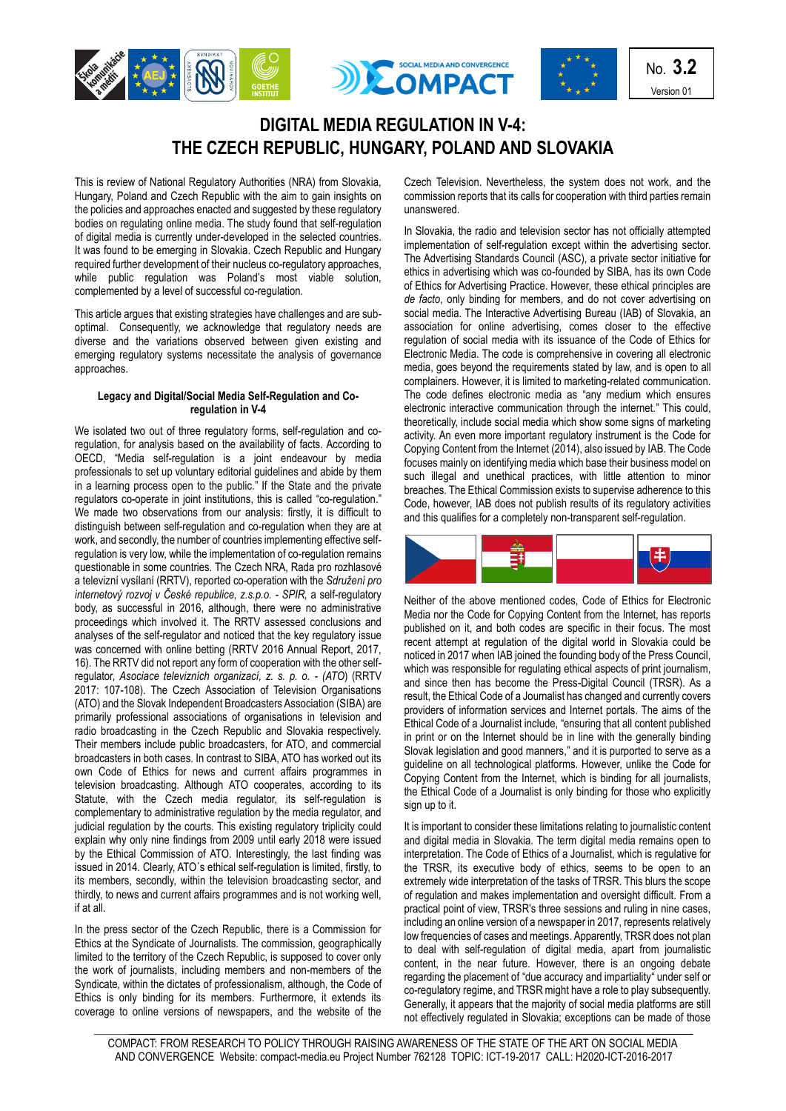





No. **3.2** Version 01

## **DIGITAL MEDIA REGULATION IN V-4: THE CZECH REPUBLIC, HUNGARY, POLAND AND SLOVAKIA**

This is review of National Regulatory Authorities (NRA) from Slovakia, Hungary, Poland and Czech Republic with the aim to gain insights on the policies and approaches enacted and suggested by these regulatory bodies on regulating online media. The study found that self-regulation of digital media is currently under-developed in the selected countries. It was found to be emerging in Slovakia. Czech Republic and Hungary required further development of their nucleus co-regulatory approaches, while public regulation was Poland's most viable solution, complemented by a level of successful co-regulation.

This article argues that existing strategies have challenges and are suboptimal. Consequently, we acknowledge that regulatory needs are diverse and the variations observed between given existing and emerging regulatory systems necessitate the analysis of governance approaches.

## **Legacy and Digital/Social Media Self-Regulation and Coregulation in V-4**

We isolated two out of three regulatory forms, self-regulation and coregulation, for analysis based on the availability of facts. According to OECD, "Media self-regulation is a joint endeavour by media professionals to set up voluntary editorial guidelines and abide by them in a learning process open to the public." If the State and the private regulators co-operate in joint institutions, this is called "co-regulation." We made two observations from our analysis: firstly, it is difficult to distinguish between self-regulation and co-regulation when they are at work, and secondly, the number of countries implementing effective selfregulation is very low, while the implementation of co-regulation remains questionable in some countries. The Czech NRA, Rada pro rozhlasové a televizní vysílaní (RRTV), reported co-operation with the *Sdružení pro internetový rozvoj v České republice, z.s.p.o. - SPIR,* a self-regulatory body, as successful in 2016, although, there were no administrative proceedings which involved it. The RRTV assessed conclusions and analyses of the self-regulator and noticed that the key regulatory issue was concerned with online betting (RRTV 2016 Annual Report, 2017, 16). The RRTV did not report any form of cooperation with the other selfregulator, *Asociace televizních organizací, z. s. p. o. - (ATO*) (RRTV 2017: 107-108). The Czech Association of Television Organisations (ATO) and the Slovak Independent Broadcasters Association (SIBA) are primarily professional associations of organisations in television and radio broadcasting in the Czech Republic and Slovakia respectively. Their members include public broadcasters, for ATO, and commercial broadcasters in both cases. In contrast to SIBA, ATO has worked out its own Code of Ethics for news and current affairs programmes in television broadcasting. Although ATO cooperates, according to its Statute, with the Czech media regulator, its self-regulation is complementary to administrative regulation by the media regulator, and judicial regulation by the courts. This existing regulatory triplicity could explain why only nine findings from 2009 until early 2018 were issued by the Ethical Commission of ATO. Interestingly, the last finding was issued in 2014. Clearly, ATO´s ethical self-regulation is limited, firstly, to its members, secondly, within the television broadcasting sector, and thirdly, to news and current affairs programmes and is not working well, if at all.

In the press sector of the Czech Republic, there is a Commission for Ethics at the Syndicate of Journalists. The commission, geographically limited to the territory of the Czech Republic, is supposed to cover only the work of journalists, including members and non-members of the Syndicate, within the dictates of professionalism, although, the Code of Ethics is only binding for its members. Furthermore, it extends its coverage to online versions of newspapers, and the website of the

Czech Television. Nevertheless, the system does not work, and the commission reports that its calls for cooperation with third parties remain unanswered.

In Slovakia, the radio and television sector has not officially attempted implementation of self-regulation except within the advertising sector. The Advertising Standards Council (ASC), a private sector initiative for ethics in advertising which was co-founded by SIBA, has its own Code of Ethics for Advertising Practice. However, these ethical principles are *de facto*, only binding for members, and do not cover advertising on social media. The Interactive Advertising Bureau (IAB) of Slovakia, an association for online advertising, comes closer to the effective regulation of social media with its issuance of the Code of Ethics for Electronic Media. The code is comprehensive in covering all electronic media, goes beyond the requirements stated by law, and is open to all complainers. However, it is limited to marketing-related communication. The code defines electronic media as "any medium which ensures electronic interactive communication through the internet." This could, theoretically, include social media which show some signs of marketing activity. An even more important regulatory instrument is the Code for Copying Content from the Internet (2014), also issued by IAB. The Code focuses mainly on identifying media which base their business model on such illegal and unethical practices, with little attention to minor breaches. The Ethical Commission exists to supervise adherence to this Code, however, IAB does not publish results of its regulatory activities and this qualifies for a completely non-transparent self-regulation.



Neither of the above mentioned codes, Code of Ethics for Electronic Media nor the Code for Copying Content from the Internet, has reports published on it, and both codes are specific in their focus. The most recent attempt at regulation of the digital world in Slovakia could be noticed in 2017 when IAB joined the founding body of the Press Council, which was responsible for regulating ethical aspects of print journalism, and since then has become the Press-Digital Council (TRSR). As a result, the Ethical Code of a Journalist has changed and currently covers providers of information services and Internet portals. The aims of the Ethical Code of a Journalist include, "ensuring that all content published in print or on the Internet should be in line with the generally binding Slovak legislation and good manners," and it is purported to serve as a guideline on all technological platforms. However, unlike the Code for Copying Content from the Internet, which is binding for all journalists, the Ethical Code of a Journalist is only binding for those who explicitly sign up to it.

It is important to consider these limitations relating to journalistic content and digital media in Slovakia. The term digital media remains open to interpretation. The Code of Ethics of a Journalist, which is regulative for the TRSR, its executive body of ethics, seems to be open to an extremely wide interpretation of the tasks of TRSR. This blurs the scope of regulation and makes implementation and oversight difficult. From a practical point of view, TRSR's three sessions and ruling in nine cases, including an online version of a newspaper in 2017, represents relatively low frequencies of cases and meetings. Apparently, TRSR does not plan to deal with self-regulation of digital media, apart from journalistic content, in the near future. However, there is an ongoing debate regarding the placement of "due accuracy and impartiality" under self or co-regulatory regime, and TRSR might have a role to play subsequently. Generally, it appears that the majority of social media platforms are still not effectively regulated in Slovakia; exceptions can be made of those